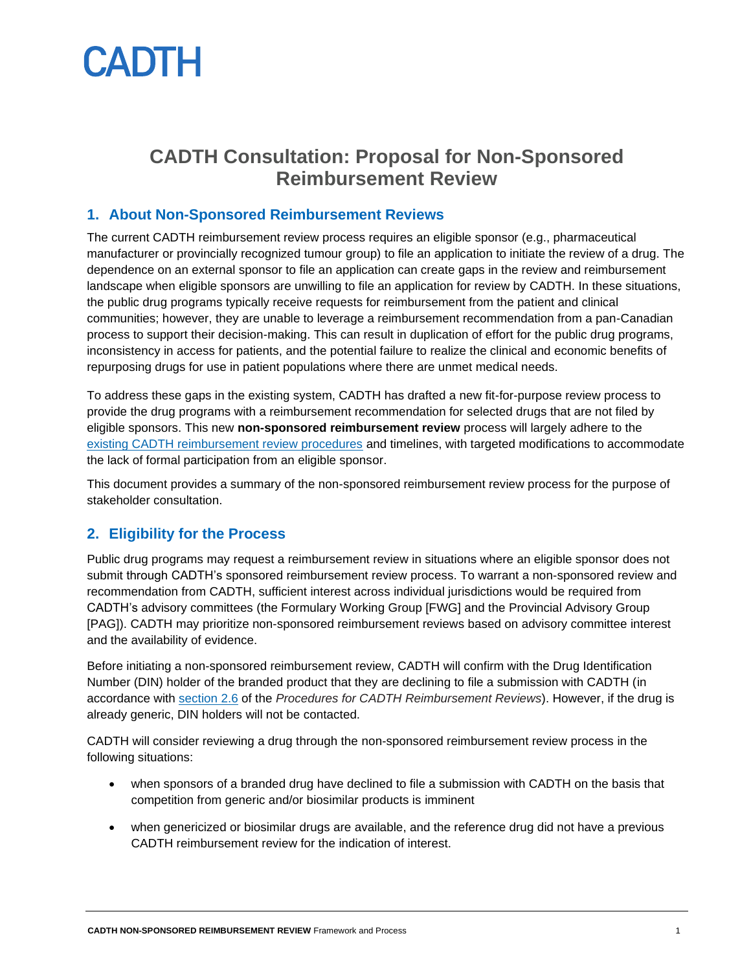# **CADTH**

# **CADTH Consultation: Proposal for Non-Sponsored Reimbursement Review**

# **1. About Non-Sponsored Reimbursement Reviews**

The current CADTH reimbursement review process requires an eligible sponsor (e.g., pharmaceutical manufacturer or provincially recognized tumour group) to file an application to initiate the review of a drug. The dependence on an external sponsor to file an application can create gaps in the review and reimbursement landscape when eligible sponsors are unwilling to file an application for review by CADTH. In these situations, the public drug programs typically receive requests for reimbursement from the patient and clinical communities; however, they are unable to leverage a reimbursement recommendation from a pan-Canadian process to support their decision-making. This can result in duplication of effort for the public drug programs, inconsistency in access for patients, and the potential failure to realize the clinical and economic benefits of repurposing drugs for use in patient populations where there are unmet medical needs.

To address these gaps in the existing system, CADTH has drafted a new fit-for-purpose review process to provide the drug programs with a reimbursement recommendation for selected drugs that are not filed by eligible sponsors. This new **non-sponsored reimbursement review** process will largely adhere to the [existing CADTH reimbursement review procedures](https://www.cadth.ca/sites/default/files/Drug_Review_Process/CADTH_Drug_Reimbursement_Review_Procedures.pdf) and timelines, with targeted modifications to accommodate the lack of formal participation from an eligible sponsor.

This document provides a summary of the non-sponsored reimbursement review process for the purpose of stakeholder consultation.

# **2. Eligibility for the Process**

Public drug programs may request a reimbursement review in situations where an eligible sponsor does not submit through CADTH's sponsored reimbursement review process. To warrant a non-sponsored review and recommendation from CADTH, sufficient interest across individual jurisdictions would be required from CADTH's advisory committees (the Formulary Working Group [FWG] and the Provincial Advisory Group [PAG]). CADTH may prioritize non-sponsored reimbursement reviews based on advisory committee interest and the availability of evidence.

Before initiating a non-sponsored reimbursement review, CADTH will confirm with the Drug Identification Number (DIN) holder of the branded product that they are declining to file a submission with CADTH (in accordance with [section 2.6](https://www.cadth.ca/sites/default/files/Drug_Review_Process/CADTH_Drug_Reimbursement_Review_Procedures.pdf) of the *Procedures for CADTH Reimbursement Reviews*). However, if the drug is already generic, DIN holders will not be contacted.

CADTH will consider reviewing a drug through the non-sponsored reimbursement review process in the following situations:

- when sponsors of a branded drug have declined to file a submission with CADTH on the basis that competition from generic and/or biosimilar products is imminent
- when genericized or biosimilar drugs are available, and the reference drug did not have a previous CADTH reimbursement review for the indication of interest.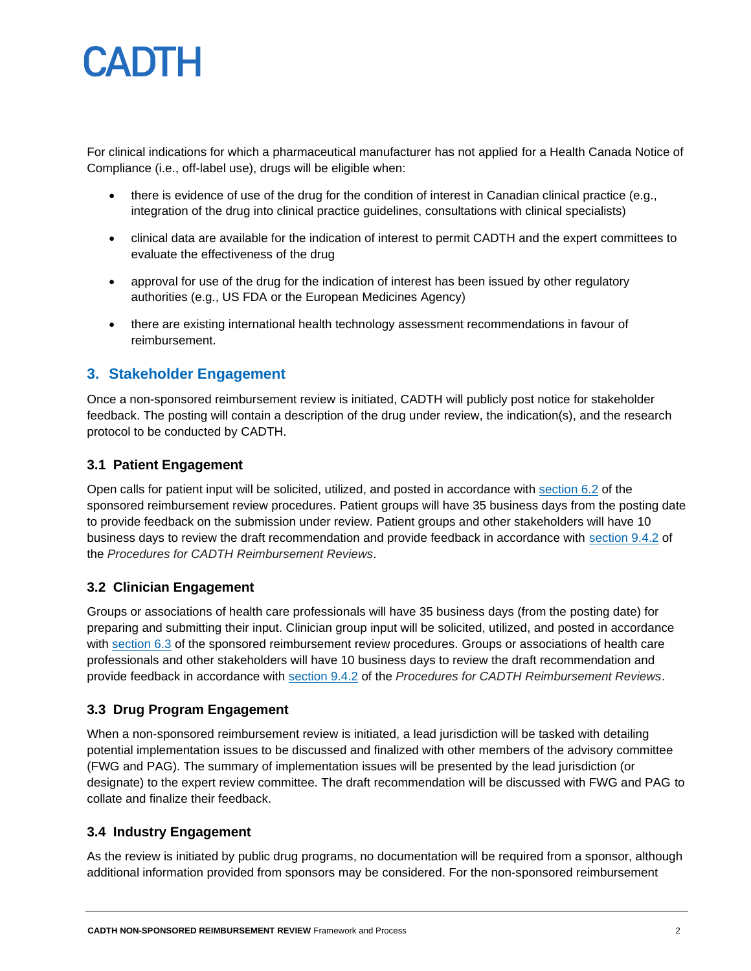# CADTH

For clinical indications for which a pharmaceutical manufacturer has not applied for a Health Canada Notice of Compliance (i.e., off-label use), drugs will be eligible when:

- there is evidence of use of the drug for the condition of interest in Canadian clinical practice (e.g., integration of the drug into clinical practice guidelines, consultations with clinical specialists)
- clinical data are available for the indication of interest to permit CADTH and the expert committees to evaluate the effectiveness of the drug
- approval for use of the drug for the indication of interest has been issued by other regulatory authorities (e.g., US FDA or the European Medicines Agency)
- there are existing international health technology assessment recommendations in favour of reimbursement.

# **3. Stakeholder Engagement**

Once a non-sponsored reimbursement review is initiated, CADTH will publicly post notice for stakeholder feedback. The posting will contain a description of the drug under review, the indication(s), and the research protocol to be conducted by CADTH.

#### **3.1 Patient Engagement**

Open calls for patient input will be solicited, utilized, and posted in accordance with [section 6.2](https://www.cadth.ca/sites/default/files/Drug_Review_Process/CADTH_Drug_Reimbursement_Review_Procedures.pdf) of the sponsored reimbursement review procedures. Patient groups will have 35 business days from the posting date to provide feedback on the submission under review. Patient groups and other stakeholders will have 10 business days to review the draft recommendation and provide feedback in accordance with [section 9.4.2](https://www.cadth.ca/sites/default/files/Drug_Review_Process/CADTH_Drug_Reimbursement_Review_Procedures.pdf) of the *Procedures for CADTH Reimbursement Reviews*.

#### **3.2 Clinician Engagement**

Groups or associations of health care professionals will have 35 business days (from the posting date) for preparing and submitting their input. Clinician group input will be solicited, utilized, and posted in accordance with [section 6.3](https://www.cadth.ca/sites/default/files/Drug_Review_Process/CADTH_Drug_Reimbursement_Review_Procedures.pdf) of the sponsored reimbursement review procedures. Groups or associations of health care professionals and other stakeholders will have 10 business days to review the draft recommendation and provide feedback in accordance with [section 9.4.2](https://www.cadth.ca/sites/default/files/Drug_Review_Process/CADTH_Drug_Reimbursement_Review_Procedures.pdf) of the *Procedures for CADTH Reimbursement Reviews*.

#### **3.3 Drug Program Engagement**

When a non-sponsored reimbursement review is initiated, a lead jurisdiction will be tasked with detailing potential implementation issues to be discussed and finalized with other members of the advisory committee (FWG and PAG). The summary of implementation issues will be presented by the lead jurisdiction (or designate) to the expert review committee. The draft recommendation will be discussed with FWG and PAG to collate and finalize their feedback.

# **3.4 Industry Engagement**

As the review is initiated by public drug programs, no documentation will be required from a sponsor, although additional information provided from sponsors may be considered. For the non-sponsored reimbursement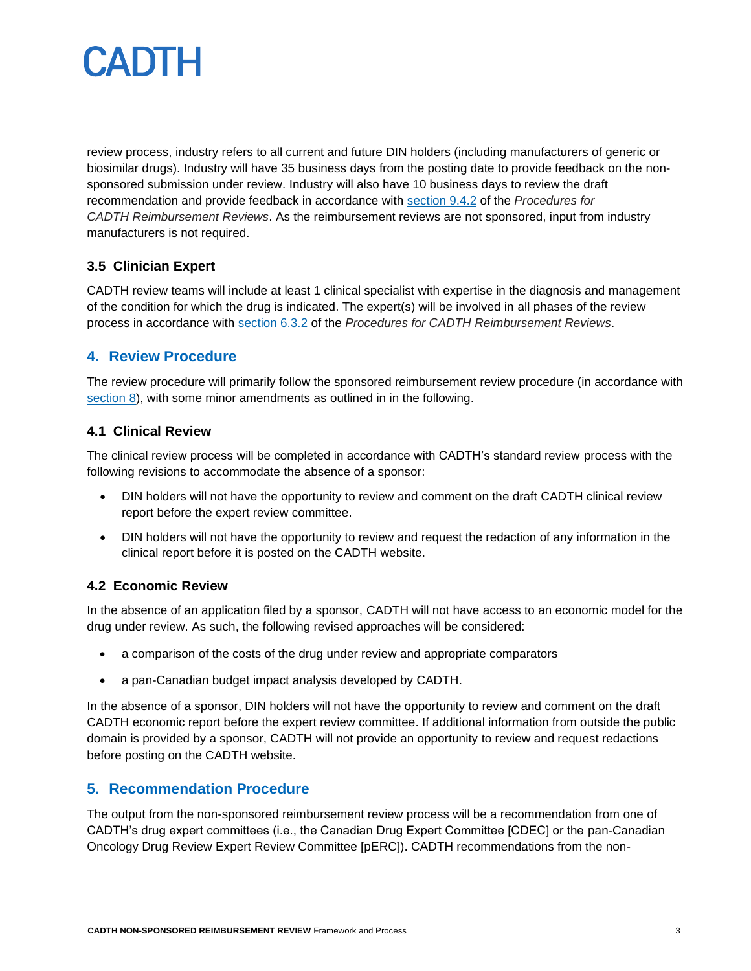

review process, industry refers to all current and future DIN holders (including manufacturers of generic or biosimilar drugs). Industry will have 35 business days from the posting date to provide feedback on the nonsponsored submission under review. Industry will also have 10 business days to review the draft recommendation and provide feedback in accordance with [section 9.4.2](https://www.cadth.ca/sites/default/files/Drug_Review_Process/CADTH_Drug_Reimbursement_Review_Procedures.pdf) of the *Procedures for CADTH Reimbursement Reviews*. As the reimbursement reviews are not sponsored, input from industry manufacturers is not required.

# **3.5 Clinician Expert**

CADTH review teams will include at least 1 clinical specialist with expertise in the diagnosis and management of the condition for which the drug is indicated. The expert(s) will be involved in all phases of the review process in accordance with [section 6.3.2](https://www.cadth.ca/sites/default/files/Drug_Review_Process/CADTH_Drug_Reimbursement_Review_Procedures.pdf) of the *Procedures for CADTH Reimbursement Reviews*.

### **4. Review Procedure**

The review procedure will primarily follow the sponsored reimbursement review procedure (in accordance with [section 8\)](https://www.cadth.ca/sites/default/files/Drug_Review_Process/CADTH_Drug_Reimbursement_Review_Procedures.pdf), with some minor amendments as outlined in in the following.

#### **4.1 Clinical Review**

The clinical review process will be completed in accordance with CADTH's standard review process with the following revisions to accommodate the absence of a sponsor:

- DIN holders will not have the opportunity to review and comment on the draft CADTH clinical review report before the expert review committee.
- DIN holders will not have the opportunity to review and request the redaction of any information in the clinical report before it is posted on the CADTH website.

#### **4.2 Economic Review**

In the absence of an application filed by a sponsor, CADTH will not have access to an economic model for the drug under review. As such, the following revised approaches will be considered:

- a comparison of the costs of the drug under review and appropriate comparators
- a pan-Canadian budget impact analysis developed by CADTH.

In the absence of a sponsor, DIN holders will not have the opportunity to review and comment on the draft CADTH economic report before the expert review committee. If additional information from outside the public domain is provided by a sponsor, CADTH will not provide an opportunity to review and request redactions before posting on the CADTH website.

#### **5. Recommendation Procedure**

The output from the non-sponsored reimbursement review process will be a recommendation from one of CADTH's drug expert committees (i.e., the Canadian Drug Expert Committee [CDEC] or the pan-Canadian Oncology Drug Review Expert Review Committee [pERC]). CADTH recommendations from the non-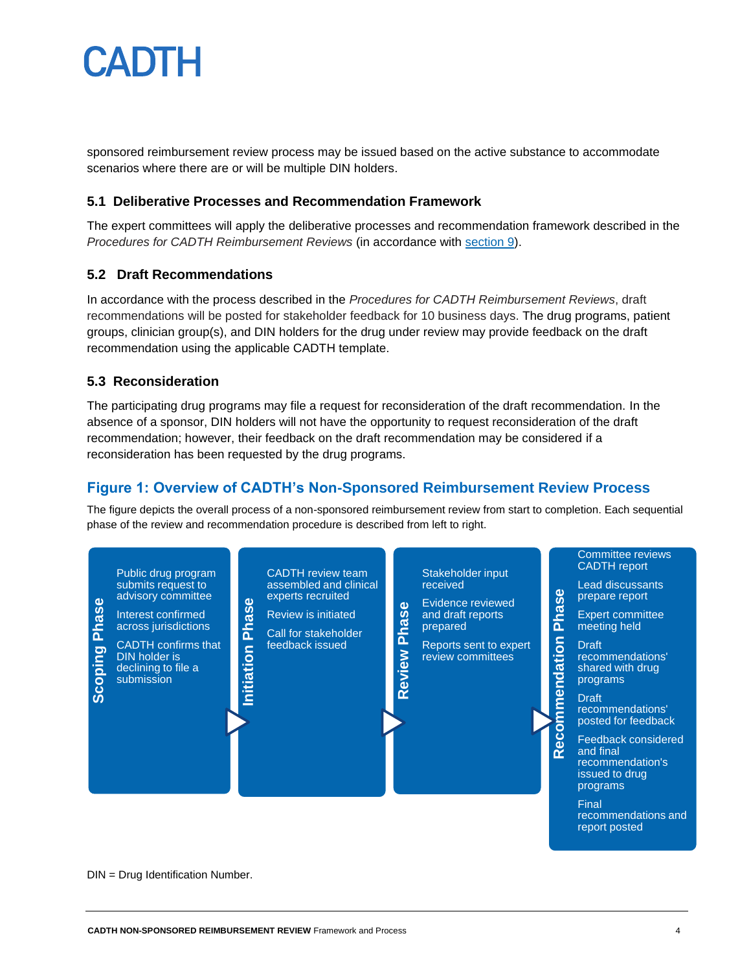

sponsored reimbursement review process may be issued based on the active substance to accommodate scenarios where there are or will be multiple DIN holders.

#### **5.1 Deliberative Processes and Recommendation Framework**

The expert committees will apply the deliberative processes and recommendation framework described in the *Procedures for CADTH Reimbursement Reviews* (in accordance with [section 9\)](https://www.cadth.ca/sites/default/files/Drug_Review_Process/CADTH_Drug_Reimbursement_Review_Procedures.pdf).

#### **5.2 Draft Recommendations**

In accordance with the process described in the *Procedures for CADTH Reimbursement Reviews*, draft recommendations will be posted for stakeholder feedback for 10 business days. The drug programs, patient groups, clinician group(s), and DIN holders for the drug under review may provide feedback on the draft recommendation using the applicable CADTH template.

#### **5.3 Reconsideration**

The participating drug programs may file a request for reconsideration of the draft recommendation. In the absence of a sponsor, DIN holders will not have the opportunity to request reconsideration of the draft recommendation; however, their feedback on the draft recommendation may be considered if a reconsideration has been requested by the drug programs.

# **Figure 1: Overview of CADTH's Non-Sponsored Reimbursement Review Process**

The figure depicts the overall process of a non-sponsored reimbursement review from start to completion. Each sequential phase of the review and recommendation procedure is described from left to right.